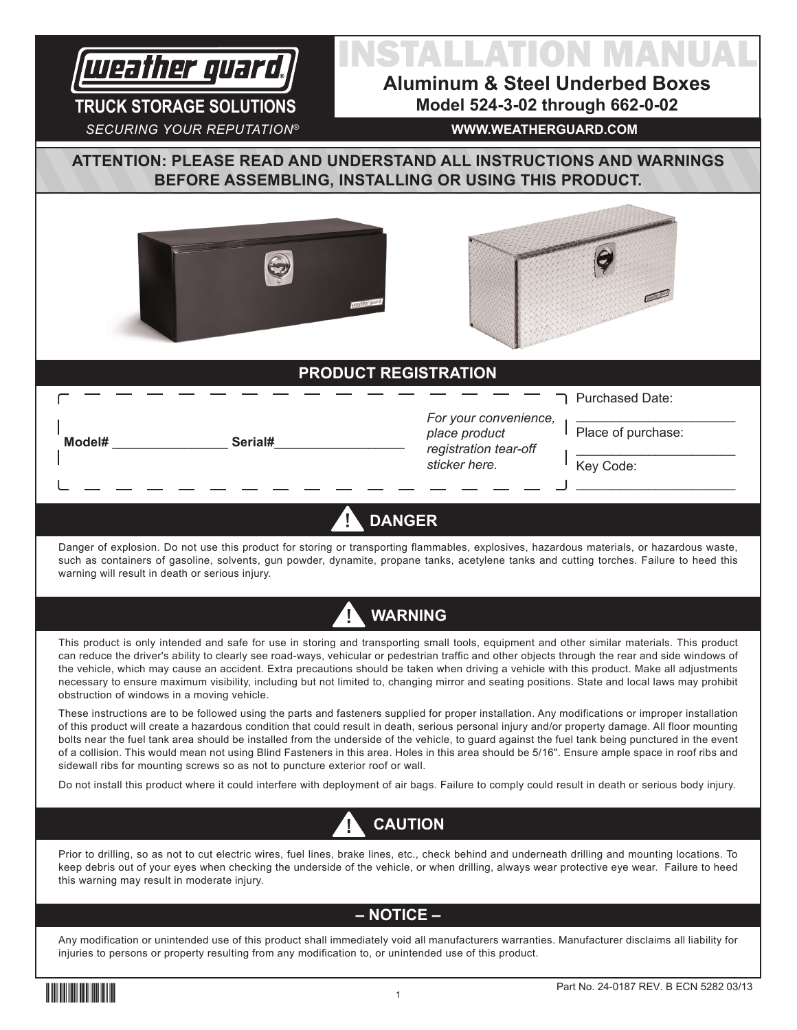

**TRUCK STORAGE SOLUTIONS**

**Model#** \_\_\_\_\_\_\_\_\_\_\_\_\_\_\_\_ **Serial#**\_\_\_\_\_\_\_\_\_\_\_\_\_\_\_\_\_\_

# INSTALLATION MANUAL

**Aluminum & Steel Underbed Boxes Model 524-3-02 through 662-0-02**

*SECURING YOUR REPUTATION®*

#### **WWW.WEATHERGUARD.COM**

**ATTENTION: PLEASE READ AND UNDERSTAND ALL INSTRUCTIONS AND WARNINGS BEFORE ASSEMBLING, INSTALLING OR USING THIS PRODUCT.**





## **PRODUCT REGISTRATION**

*For your convenience, place product registration tear-off sticker here.*

Purchased Date:

Place of purchase:

\_\_\_\_\_\_\_\_\_\_\_\_\_\_\_\_\_\_\_\_\_\_

 $\frac{1}{2}$  ,  $\frac{1}{2}$  ,  $\frac{1}{2}$  ,  $\frac{1}{2}$  ,  $\frac{1}{2}$  ,  $\frac{1}{2}$  ,  $\frac{1}{2}$  ,  $\frac{1}{2}$  ,  $\frac{1}{2}$  ,  $\frac{1}{2}$  ,  $\frac{1}{2}$  ,  $\frac{1}{2}$  ,  $\frac{1}{2}$  ,  $\frac{1}{2}$  ,  $\frac{1}{2}$  ,  $\frac{1}{2}$  ,  $\frac{1}{2}$  ,  $\frac{1}{2}$  ,  $\frac{1$ 

\_\_\_\_\_\_\_\_\_\_\_\_\_\_\_\_\_\_\_\_\_\_

Key Code:

# **DANGER**

Danger of explosion. Do not use this product for storing or transporting flammables, explosives, hazardous materials, or hazardous waste, such as containers of gasoline, solvents, gun powder, dynamite, propane tanks, acetylene tanks and cutting torches. Failure to heed this warning will result in death or serious injury.



This product is only intended and safe for use in storing and transporting small tools, equipment and other similar materials. This product can reduce the driver's ability to clearly see road-ways, vehicular or pedestrian traffic and other objects through the rear and side windows of the vehicle, which may cause an accident. Extra precautions should be taken when driving a vehicle with this product. Make all adjustments necessary to ensure maximum visibility, including but not limited to, changing mirror and seating positions. State and local laws may prohibit obstruction of windows in a moving vehicle.

These instructions are to be followed using the parts and fasteners supplied for proper installation. Any modifications or improper installation of this product will create a hazardous condition that could result in death, serious personal injury and/or property damage. All floor mounting bolts near the fuel tank area should be installed from the underside of the vehicle, to guard against the fuel tank being punctured in the event of a collision. This would mean not using Blind Fasteners in this area. Holes in this area should be 5/16". Ensure ample space in roof ribs and sidewall ribs for mounting screws so as not to puncture exterior roof or wall.

Do not install this product where it could interfere with deployment of air bags. Failure to comply could result in death or serious body injury.



Prior to drilling, so as not to cut electric wires, fuel lines, brake lines, etc., check behind and underneath drilling and mounting locations. To keep debris out of your eyes when checking the underside of the vehicle, or when drilling, always wear protective eye wear. Failure to heed this warning may result in moderate injury.

## **– NOTICE –**

Any modification or unintended use of this product shall immediately void all manufacturers warranties. Manufacturer disclaims all liability for injuries to persons or property resulting from any modification to, or unintended use of this product.

24-0187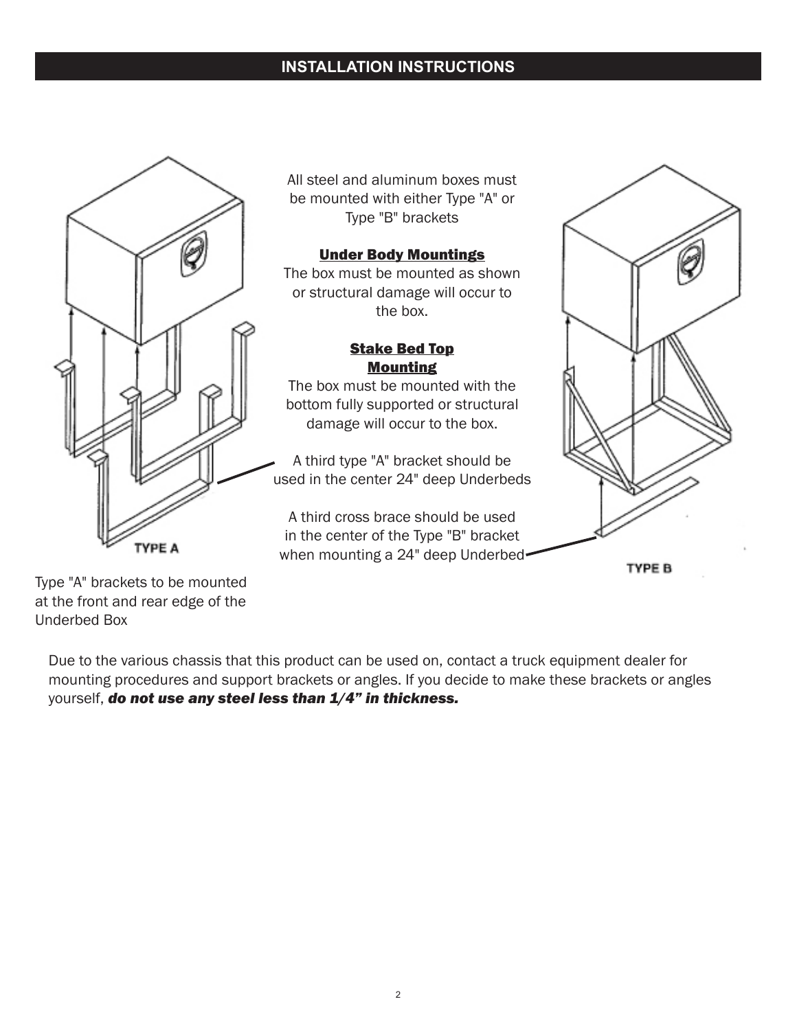# **INSTALLATION INSTRUCTIONS**



All steel and aluminum boxes must be mounted with either Type "A" or Type "B" brackets

#### Under Body Mountings

The box must be mounted as shown or structural damage will occur to the box.

#### Stake Bed Top Mounting

The box must be mounted with the bottom fully supported or structural damage will occur to the box.

A third type "A" bracket should be used in the center 24" deep Underbeds

A third cross brace should be used in the center of the Type "B" bracket when mounting a 24" deep Underbed



TYPE B

Type "A" brackets to be mounted at the front and rear edge of the Underbed Box

Due to the various chassis that this product can be used on, contact a truck equipment dealer for mounting procedures and support brackets or angles. If you decide to make these brackets or angles yourself, *do not use any steel less than 1/4" in thickness.*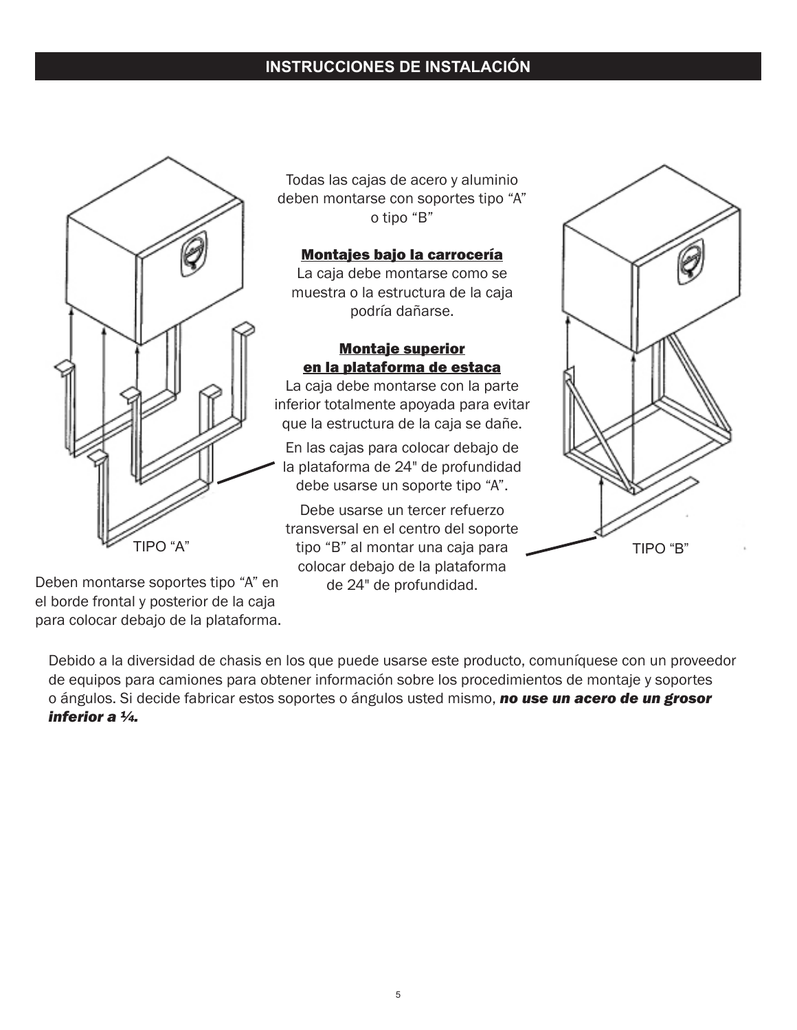# **INSTRUCCIONES DE INSTALACIÓN**



Todas las cajas de acero y aluminio deben montarse con soportes tipo "A" o tipo "B"

#### Montajes bajo la carrocería

La caja debe montarse como se muestra o la estructura de la caja podría dañarse.

### Montaje superior en la plataforma de estaca

La caja debe montarse con la parte inferior totalmente apoyada para evitar que la estructura de la caja se dañe.

En las cajas para colocar debajo de la plataforma de 24" de profundidad debe usarse un soporte tipo "A".

Debe usarse un tercer refuerzo transversal en el centro del soporte TIPO "A" TIPO "B" al montar una caja para TIPO "B" colocar debajo de la plataforma



Deben montarse soportes tipo "A" en de 24" de profundidad. el borde frontal y posterior de la caja para colocar debajo de la plataforma.

Debido a la diversidad de chasis en los que puede usarse este producto, comuníquese con un proveedor de equipos para camiones para obtener información sobre los procedimientos de montaje y soportes o ángulos. Si decide fabricar estos soportes o ángulos usted mismo, *no use un acero de un grosor inferior a ¼.*